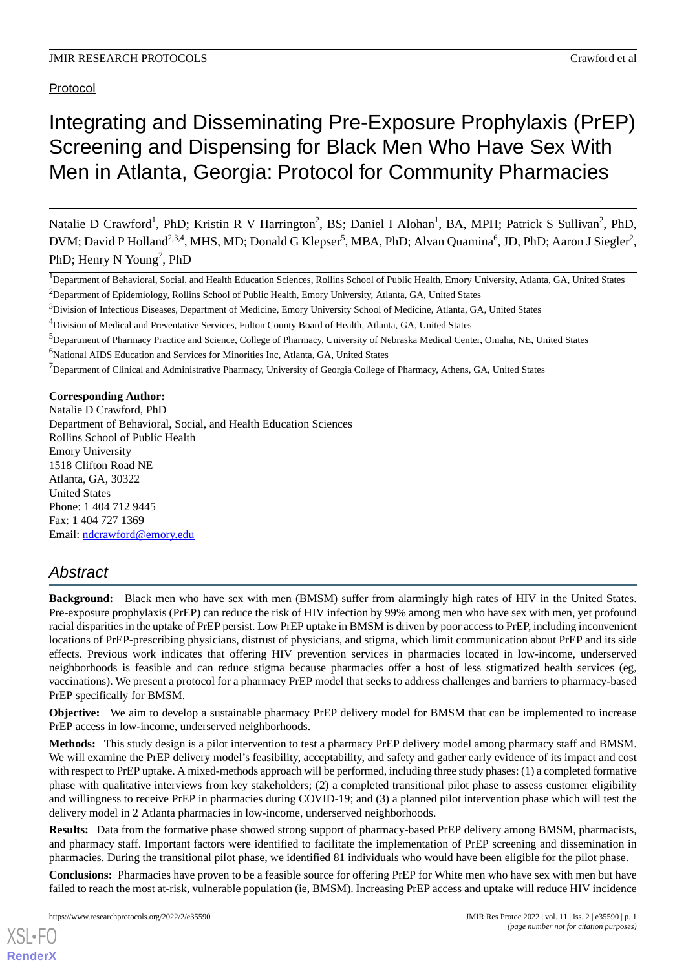Protocol

# Integrating and Disseminating Pre-Exposure Prophylaxis (PrEP) Screening and Dispensing for Black Men Who Have Sex With Men in Atlanta, Georgia: Protocol for Community Pharmacies

Natalie D Crawford<sup>1</sup>, PhD; Kristin R V Harrington<sup>2</sup>, BS; Daniel I Alohan<sup>1</sup>, BA, MPH; Patrick S Sullivan<sup>2</sup>, PhD, DVM; David P Holland<sup>2,3,4</sup>, MHS, MD; Donald G Klepser<sup>5</sup>, MBA, PhD; Alvan Quamina<sup>6</sup>, JD, PhD; Aaron J Siegler<sup>2</sup>, PhD; Henry N Young<sup>7</sup>, PhD

<sup>1</sup>Department of Behavioral, Social, and Health Education Sciences, Rollins School of Public Health, Emory University, Atlanta, GA, United States

 $3$ Division of Infectious Diseases, Department of Medicine, Emory University School of Medicine, Atlanta, GA, United States

<sup>5</sup>Department of Pharmacy Practice and Science, College of Pharmacy, University of Nebraska Medical Center, Omaha, NE, United States

<sup>6</sup>National AIDS Education and Services for Minorities Inc, Atlanta, GA, United States

 $<sup>7</sup>$ Department of Clinical and Administrative Pharmacy, University of Georgia College of Pharmacy, Athens, GA, United States</sup>

**Corresponding Author:** Natalie D Crawford, PhD Department of Behavioral, Social, and Health Education Sciences Rollins School of Public Health Emory University 1518 Clifton Road NE Atlanta, GA, 30322

United States Phone: 1 404 712 9445 Fax: 1 404 727 1369 Email: [ndcrawford@emory.edu](mailto:ndcrawford@emory.edu)

## *Abstract*

**Background:** Black men who have sex with men (BMSM) suffer from alarmingly high rates of HIV in the United States. Pre-exposure prophylaxis (PrEP) can reduce the risk of HIV infection by 99% among men who have sex with men, yet profound racial disparities in the uptake of PrEP persist. Low PrEP uptake in BMSM is driven by poor access to PrEP, including inconvenient locations of PrEP-prescribing physicians, distrust of physicians, and stigma, which limit communication about PrEP and its side effects. Previous work indicates that offering HIV prevention services in pharmacies located in low-income, underserved neighborhoods is feasible and can reduce stigma because pharmacies offer a host of less stigmatized health services (eg, vaccinations). We present a protocol for a pharmacy PrEP model that seeks to address challenges and barriers to pharmacy-based PrEP specifically for BMSM.

**Objective:** We aim to develop a sustainable pharmacy PrEP delivery model for BMSM that can be implemented to increase PrEP access in low-income, underserved neighborhoods.

**Methods:** This study design is a pilot intervention to test a pharmacy PrEP delivery model among pharmacy staff and BMSM. We will examine the PrEP delivery model's feasibility, acceptability, and safety and gather early evidence of its impact and cost with respect to PrEP uptake. A mixed-methods approach will be performed, including three study phases: (1) a completed formative phase with qualitative interviews from key stakeholders; (2) a completed transitional pilot phase to assess customer eligibility and willingness to receive PrEP in pharmacies during COVID-19; and (3) a planned pilot intervention phase which will test the delivery model in 2 Atlanta pharmacies in low-income, underserved neighborhoods.

**Results:** Data from the formative phase showed strong support of pharmacy-based PrEP delivery among BMSM, pharmacists, and pharmacy staff. Important factors were identified to facilitate the implementation of PrEP screening and dissemination in pharmacies. During the transitional pilot phase, we identified 81 individuals who would have been eligible for the pilot phase.

**Conclusions:** Pharmacies have proven to be a feasible source for offering PrEP for White men who have sex with men but have failed to reach the most at-risk, vulnerable population (ie, BMSM). Increasing PrEP access and uptake will reduce HIV incidence

<sup>&</sup>lt;sup>2</sup>Department of Epidemiology, Rollins School of Public Health, Emory University, Atlanta, GA, United States

<sup>4</sup>Division of Medical and Preventative Services, Fulton County Board of Health, Atlanta, GA, United States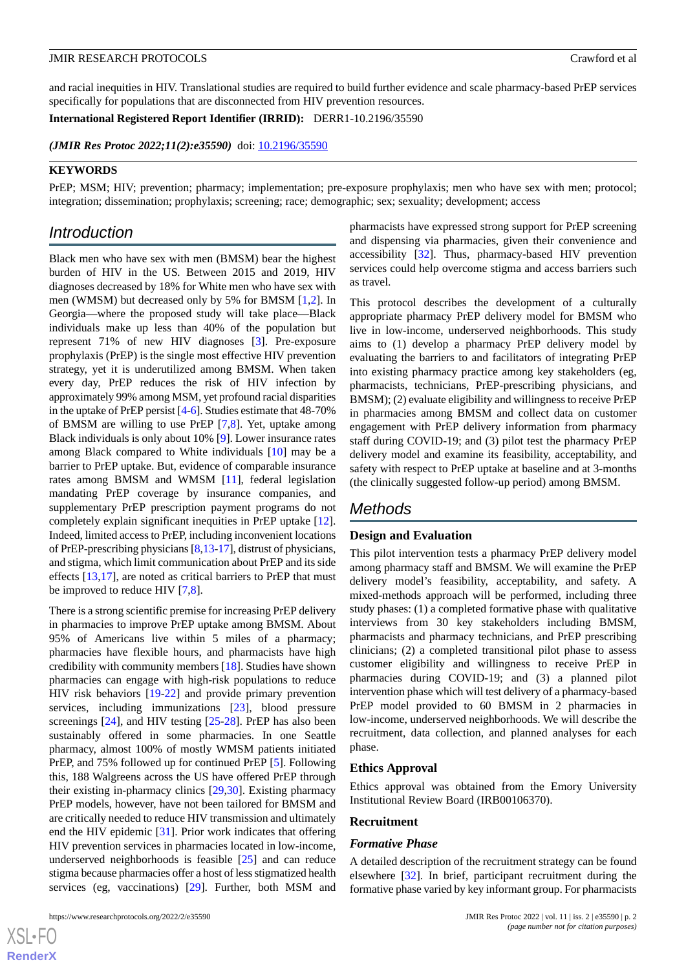and racial inequities in HIV. Translational studies are required to build further evidence and scale pharmacy-based PrEP services specifically for populations that are disconnected from HIV prevention resources.

**International Registered Report Identifier (IRRID):** DERR1-10.2196/35590

(JMIR Res Protoc 2022;11(2):e35590) doi: [10.2196/35590](http://dx.doi.org/10.2196/35590)

#### **KEYWORDS**

PrEP; MSM; HIV; prevention; pharmacy; implementation; pre-exposure prophylaxis; men who have sex with men; protocol; integration; dissemination; prophylaxis; screening; race; demographic; sex; sexuality; development; access

### *Introduction*

Black men who have sex with men (BMSM) bear the highest burden of HIV in the US*.* Between 2015 and 2019, HIV diagnoses decreased by 18% for White men who have sex with men (WMSM) but decreased only by 5% for BMSM [\[1](#page-8-0),[2\]](#page-8-1). In Georgia—where the proposed study will take place—Black individuals make up less than 40% of the population but represent 71% of new HIV diagnoses [[3\]](#page-8-2). Pre-exposure prophylaxis (PrEP) is the single most effective HIV prevention strategy, yet it is underutilized among BMSM. When taken every day, PrEP reduces the risk of HIV infection by approximately 99% among MSM, yet profound racial disparities in the uptake of PrEP persist [\[4](#page-8-3)-[6](#page-8-4)]. Studies estimate that 48-70% of BMSM are willing to use PrEP [\[7](#page-8-5),[8\]](#page-9-0). Yet, uptake among Black individuals is only about 10% [\[9](#page-9-1)]. Lower insurance rates among Black compared to White individuals [[10\]](#page-9-2) may be a barrier to PrEP uptake. But, evidence of comparable insurance rates among BMSM and WMSM [[11\]](#page-9-3), federal legislation mandating PrEP coverage by insurance companies, and supplementary PrEP prescription payment programs do not completely explain significant inequities in PrEP uptake [[12\]](#page-9-4). Indeed, limited access to PrEP, including inconvenient locations of PrEP-prescribing physicians [[8](#page-9-0)[,13](#page-9-5)[-17](#page-9-6)], distrust of physicians, and stigma, which limit communication about PrEP and its side effects [[13,](#page-9-5)[17\]](#page-9-6), are noted as critical barriers to PrEP that must be improved to reduce HIV [\[7](#page-8-5),[8](#page-9-0)].

There is a strong scientific premise for increasing PrEP delivery in pharmacies to improve PrEP uptake among BMSM. About 95% of Americans live within 5 miles of a pharmacy; pharmacies have flexible hours, and pharmacists have high credibility with community members [[18\]](#page-9-7). Studies have shown pharmacies can engage with high-risk populations to reduce HIV risk behaviors [[19-](#page-9-8)[22\]](#page-9-9) and provide primary prevention services, including immunizations [[23\]](#page-9-10), blood pressure screenings [\[24](#page-9-11)], and HIV testing [\[25](#page-9-12)-[28\]](#page-9-13). PrEP has also been sustainably offered in some pharmacies. In one Seattle pharmacy, almost 100% of mostly WMSM patients initiated PrEP, and 75% followed up for continued PrEP [[5\]](#page-8-6). Following this, 188 Walgreens across the US have offered PrEP through their existing in-pharmacy clinics [\[29](#page-9-14)[,30](#page-10-0)]. Existing pharmacy PrEP models, however, have not been tailored for BMSM and are critically needed to reduce HIV transmission and ultimately end the HIV epidemic [\[31](#page-10-1)]. Prior work indicates that offering HIV prevention services in pharmacies located in low-income, underserved neighborhoods is feasible [[25\]](#page-9-12) and can reduce stigma because pharmacies offer a host of less stigmatized health services (eg, vaccinations) [\[29](#page-9-14)]. Further, both MSM and

pharmacists have expressed strong support for PrEP screening and dispensing via pharmacies, given their convenience and accessibility [[32\]](#page-10-2). Thus, pharmacy-based HIV prevention services could help overcome stigma and access barriers such as travel.

This protocol describes the development of a culturally appropriate pharmacy PrEP delivery model for BMSM who live in low-income, underserved neighborhoods. This study aims to (1) develop a pharmacy PrEP delivery model by evaluating the barriers to and facilitators of integrating PrEP into existing pharmacy practice among key stakeholders (eg, pharmacists, technicians, PrEP-prescribing physicians, and BMSM); (2) evaluate eligibility and willingness to receive PrEP in pharmacies among BMSM and collect data on customer engagement with PrEP delivery information from pharmacy staff during COVID-19; and (3) pilot test the pharmacy PrEP delivery model and examine its feasibility, acceptability, and safety with respect to PrEP uptake at baseline and at 3-months (the clinically suggested follow-up period) among BMSM.

### *Methods*

#### **Design and Evaluation**

This pilot intervention tests a pharmacy PrEP delivery model among pharmacy staff and BMSM. We will examine the PrEP delivery model's feasibility, acceptability, and safety. A mixed-methods approach will be performed, including three study phases: (1) a completed formative phase with qualitative interviews from 30 key stakeholders including BMSM, pharmacists and pharmacy technicians, and PrEP prescribing clinicians; (2) a completed transitional pilot phase to assess customer eligibility and willingness to receive PrEP in pharmacies during COVID-19; and (3) a planned pilot intervention phase which will test delivery of a pharmacy-based PrEP model provided to 60 BMSM in 2 pharmacies in low-income, underserved neighborhoods. We will describe the recruitment, data collection, and planned analyses for each phase.

#### **Ethics Approval**

Ethics approval was obtained from the Emory University Institutional Review Board (IRB00106370).

#### **Recruitment**

#### *Formative Phase*

A detailed description of the recruitment strategy can be found elsewhere [[32\]](#page-10-2). In brief, participant recruitment during the formative phase varied by key informant group. For pharmacists

 $XS$  • FO **[RenderX](http://www.renderx.com/)**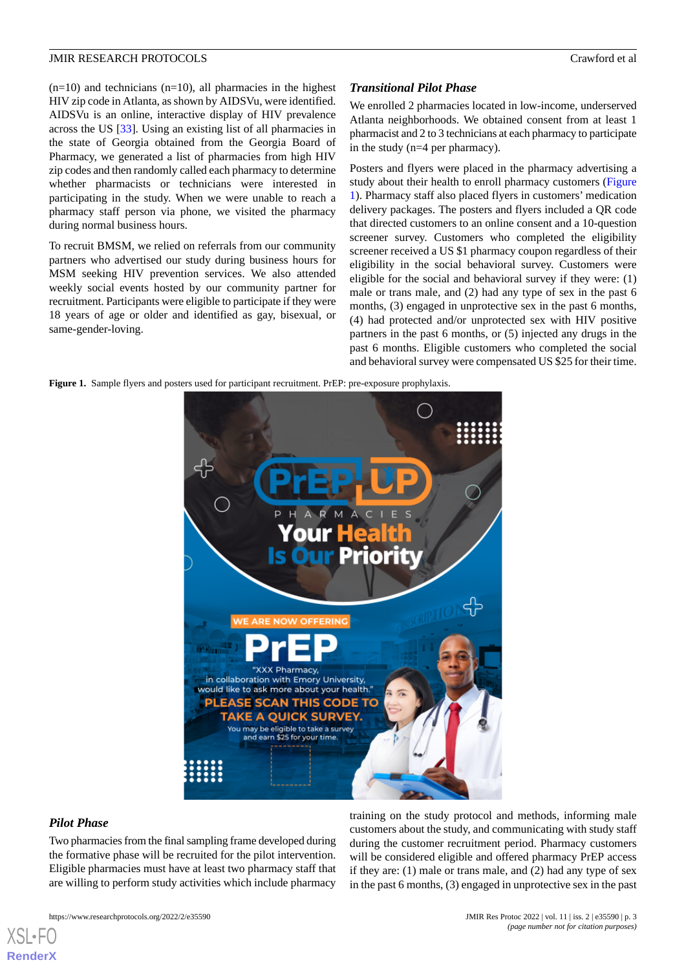$(n=10)$  and technicians  $(n=10)$ , all pharmacies in the highest HIV zip code in Atlanta, as shown by AIDSVu, were identified. AIDSVu is an online, interactive display of HIV prevalence across the US [\[33](#page-10-3)]. Using an existing list of all pharmacies in the state of Georgia obtained from the Georgia Board of Pharmacy, we generated a list of pharmacies from high HIV zip codes and then randomly called each pharmacy to determine whether pharmacists or technicians were interested in participating in the study. When we were unable to reach a pharmacy staff person via phone, we visited the pharmacy during normal business hours.

To recruit BMSM, we relied on referrals from our community partners who advertised our study during business hours for MSM seeking HIV prevention services. We also attended weekly social events hosted by our community partner for recruitment. Participants were eligible to participate if they were 18 years of age or older and identified as gay, bisexual, or same-gender-loving.

#### *Transitional Pilot Phase*

We enrolled 2 pharmacies located in low-income, underserved Atlanta neighborhoods. We obtained consent from at least 1 pharmacist and 2 to 3 technicians at each pharmacy to participate in the study (n=4 per pharmacy).

Posters and flyers were placed in the pharmacy advertising a study about their health to enroll pharmacy customers ([Figure](#page-2-0) [1\)](#page-2-0). Pharmacy staff also placed flyers in customers' medication delivery packages. The posters and flyers included a QR code that directed customers to an online consent and a 10-question screener survey. Customers who completed the eligibility screener received a US \$1 pharmacy coupon regardless of their eligibility in the social behavioral survey. Customers were eligible for the social and behavioral survey if they were: (1) male or trans male, and (2) had any type of sex in the past 6 months, (3) engaged in unprotective sex in the past 6 months, (4) had protected and/or unprotected sex with HIV positive partners in the past 6 months, or (5) injected any drugs in the past 6 months. Eligible customers who completed the social and behavioral survey were compensated US \$25 for their time.

<span id="page-2-0"></span>**Figure 1.** Sample flyers and posters used for participant recruitment. PrEP: pre-exposure prophylaxis.



#### *Pilot Phase*

[XSL](http://www.w3.org/Style/XSL)•FO **[RenderX](http://www.renderx.com/)**

Two pharmacies from the final sampling frame developed during the formative phase will be recruited for the pilot intervention. Eligible pharmacies must have at least two pharmacy staff that are willing to perform study activities which include pharmacy

https://www.researchprotocols.org/2022/2/e35590 JMIR Res Protoc 2022 | vol. 11 | iss. 2 | e35590 | p. 3

training on the study protocol and methods, informing male customers about the study, and communicating with study staff during the customer recruitment period. Pharmacy customers will be considered eligible and offered pharmacy PrEP access if they are: (1) male or trans male, and (2) had any type of sex in the past 6 months, (3) engaged in unprotective sex in the past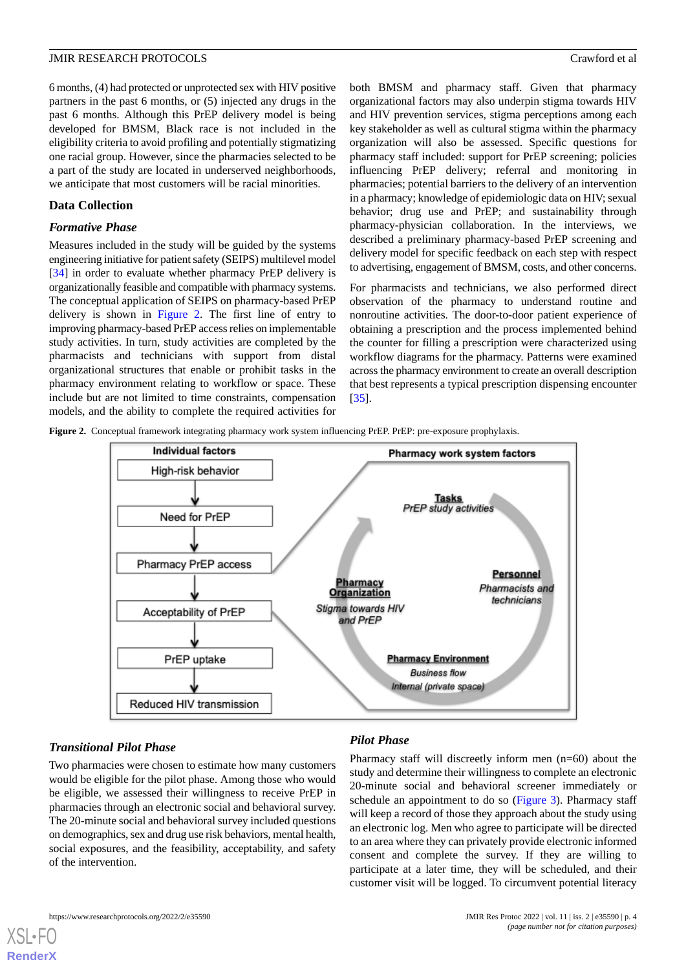6 months, (4) had protected or unprotected sex with HIV positive partners in the past 6 months, or (5) injected any drugs in the past 6 months. Although this PrEP delivery model is being developed for BMSM, Black race is not included in the eligibility criteria to avoid profiling and potentially stigmatizing one racial group. However, since the pharmacies selected to be a part of the study are located in underserved neighborhoods, we anticipate that most customers will be racial minorities.

#### **Data Collection**

#### *Formative Phase*

Measures included in the study will be guided by the systems engineering initiative for patient safety (SEIPS) multilevel model [[34\]](#page-10-4) in order to evaluate whether pharmacy PrEP delivery is organizationally feasible and compatible with pharmacy systems. The conceptual application of SEIPS on pharmacy-based PrEP delivery is shown in [Figure 2](#page-3-0). The first line of entry to improving pharmacy-based PrEP access relies on implementable study activities. In turn, study activities are completed by the pharmacists and technicians with support from distal organizational structures that enable or prohibit tasks in the pharmacy environment relating to workflow or space. These include but are not limited to time constraints, compensation models, and the ability to complete the required activities for

both BMSM and pharmacy staff. Given that pharmacy organizational factors may also underpin stigma towards HIV and HIV prevention services, stigma perceptions among each key stakeholder as well as cultural stigma within the pharmacy organization will also be assessed. Specific questions for pharmacy staff included: support for PrEP screening; policies influencing PrEP delivery; referral and monitoring in pharmacies; potential barriers to the delivery of an intervention in a pharmacy; knowledge of epidemiologic data on HIV; sexual behavior; drug use and PrEP; and sustainability through pharmacy-physician collaboration. In the interviews, we described a preliminary pharmacy-based PrEP screening and delivery model for specific feedback on each step with respect to advertising, engagement of BMSM, costs, and other concerns.

For pharmacists and technicians, we also performed direct observation of the pharmacy to understand routine and nonroutine activities. The door-to-door patient experience of obtaining a prescription and the process implemented behind the counter for filling a prescription were characterized using workflow diagrams for the pharmacy. Patterns were examined across the pharmacy environment to create an overall description that best represents a typical prescription dispensing encounter [[35\]](#page-10-5).

<span id="page-3-0"></span>**Figure 2.** Conceptual framework integrating pharmacy work system influencing PrEP. PrEP: pre-exposure prophylaxis.



#### *Transitional Pilot Phase*

Two pharmacies were chosen to estimate how many customers would be eligible for the pilot phase. Among those who would be eligible, we assessed their willingness to receive PrEP in pharmacies through an electronic social and behavioral survey. The 20-minute social and behavioral survey included questions on demographics, sex and drug use risk behaviors, mental health, social exposures, and the feasibility, acceptability, and safety of the intervention.

### *Pilot Phase*

Pharmacy staff will discreetly inform men (n=60) about the study and determine their willingness to complete an electronic 20-minute social and behavioral screener immediately or schedule an appointment to do so [\(Figure 3\)](#page-4-0). Pharmacy staff will keep a record of those they approach about the study using an electronic log. Men who agree to participate will be directed to an area where they can privately provide electronic informed consent and complete the survey. If they are willing to participate at a later time, they will be scheduled, and their customer visit will be logged. To circumvent potential literacy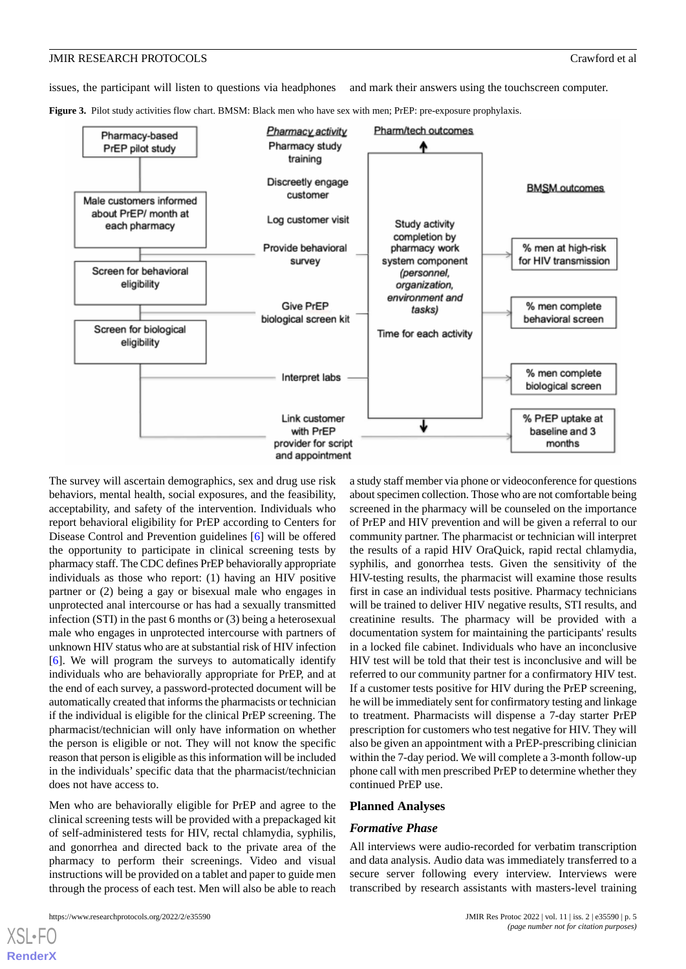issues, the participant will listen to questions via headphones and mark their answers using the touchscreen computer.

<span id="page-4-0"></span>**Figure 3.** Pilot study activities flow chart. BMSM: Black men who have sex with men; PrEP: pre-exposure prophylaxis.



The survey will ascertain demographics, sex and drug use risk behaviors, mental health, social exposures, and the feasibility, acceptability, and safety of the intervention. Individuals who report behavioral eligibility for PrEP according to Centers for Disease Control and Prevention guidelines [[6\]](#page-8-4) will be offered the opportunity to participate in clinical screening tests by pharmacy staff. The CDC defines PrEP behaviorally appropriate individuals as those who report: (1) having an HIV positive partner or (2) being a gay or bisexual male who engages in unprotected anal intercourse or has had a sexually transmitted infection (STI) in the past 6 months or (3) being a heterosexual male who engages in unprotected intercourse with partners of unknown HIV status who are at substantial risk of HIV infection [[6\]](#page-8-4). We will program the surveys to automatically identify individuals who are behaviorally appropriate for PrEP, and at the end of each survey, a password-protected document will be automatically created that informs the pharmacists or technician if the individual is eligible for the clinical PrEP screening. The pharmacist/technician will only have information on whether the person is eligible or not. They will not know the specific reason that person is eligible as this information will be included in the individuals' specific data that the pharmacist/technician does not have access to.

Men who are behaviorally eligible for PrEP and agree to the clinical screening tests will be provided with a prepackaged kit of self-administered tests for HIV, rectal chlamydia, syphilis, and gonorrhea and directed back to the private area of the pharmacy to perform their screenings. Video and visual instructions will be provided on a tablet and paper to guide men through the process of each test. Men will also be able to reach

screened in the pharmacy will be counseled on the importance of PrEP and HIV prevention and will be given a referral to our community partner. The pharmacist or technician will interpret the results of a rapid HIV OraQuick, rapid rectal chlamydia, syphilis, and gonorrhea tests. Given the sensitivity of the HIV-testing results, the pharmacist will examine those results first in case an individual tests positive. Pharmacy technicians will be trained to deliver HIV negative results, STI results, and creatinine results. The pharmacy will be provided with a documentation system for maintaining the participants' results in a locked file cabinet. Individuals who have an inconclusive HIV test will be told that their test is inconclusive and will be referred to our community partner for a confirmatory HIV test. If a customer tests positive for HIV during the PrEP screening, he will be immediately sent for confirmatory testing and linkage to treatment. Pharmacists will dispense a 7-day starter PrEP prescription for customers who test negative for HIV. They will also be given an appointment with a PrEP-prescribing clinician within the 7-day period. We will complete a 3-month follow-up phone call with men prescribed PrEP to determine whether they continued PrEP use.

a study staff member via phone or videoconference for questions about specimen collection. Those who are not comfortable being

#### **Planned Analyses**

#### *Formative Phase*

All interviews were audio-recorded for verbatim transcription and data analysis. Audio data was immediately transferred to a secure server following every interview. Interviews were transcribed by research assistants with masters-level training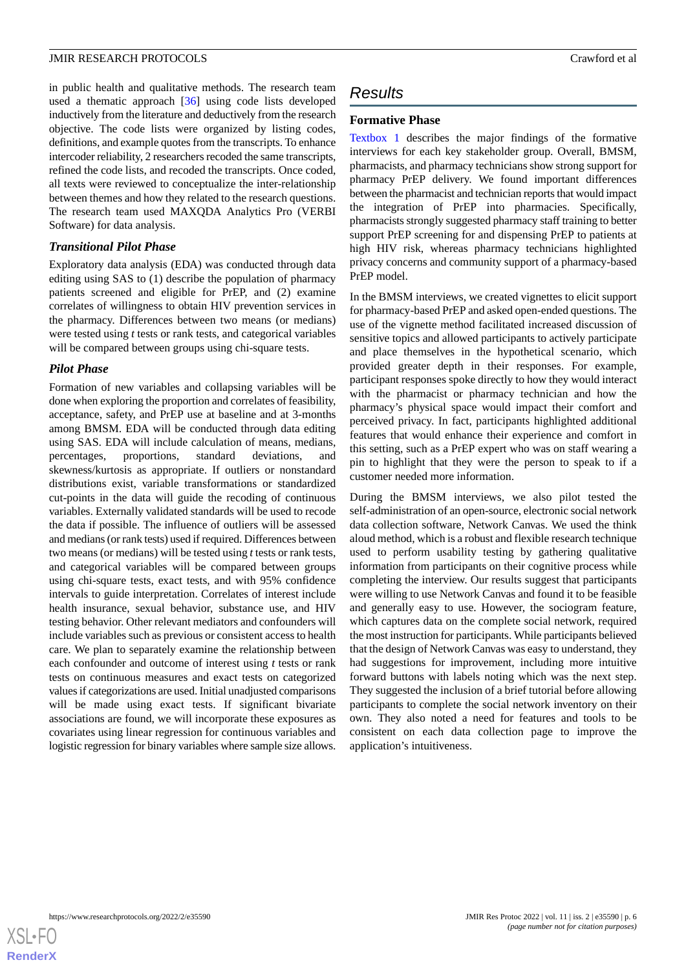in public health and qualitative methods. The research team used a thematic approach [\[36](#page-10-6)] using code lists developed inductively from the literature and deductively from the research objective. The code lists were organized by listing codes, definitions, and example quotes from the transcripts. To enhance intercoder reliability, 2 researchers recoded the same transcripts, refined the code lists, and recoded the transcripts. Once coded, all texts were reviewed to conceptualize the inter-relationship between themes and how they related to the research questions. The research team used MAXQDA Analytics Pro (VERBI Software) for data analysis.

#### *Transitional Pilot Phase*

Exploratory data analysis (EDA) was conducted through data editing using SAS to (1) describe the population of pharmacy patients screened and eligible for PrEP, and (2) examine correlates of willingness to obtain HIV prevention services in the pharmacy. Differences between two means (or medians) were tested using *t* tests or rank tests, and categorical variables will be compared between groups using chi-square tests.

#### *Pilot Phase*

Formation of new variables and collapsing variables will be done when exploring the proportion and correlates of feasibility, acceptance, safety, and PrEP use at baseline and at 3-months among BMSM. EDA will be conducted through data editing using SAS. EDA will include calculation of means, medians, percentages, proportions, standard deviations, and skewness/kurtosis as appropriate. If outliers or nonstandard distributions exist, variable transformations or standardized cut-points in the data will guide the recoding of continuous variables. Externally validated standards will be used to recode the data if possible. The influence of outliers will be assessed and medians (or rank tests) used if required. Differences between two means (or medians) will be tested using *t*tests or rank tests, and categorical variables will be compared between groups using chi-square tests, exact tests, and with 95% confidence intervals to guide interpretation. Correlates of interest include health insurance, sexual behavior, substance use, and HIV testing behavior. Other relevant mediators and confounders will include variables such as previous or consistent access to health care. We plan to separately examine the relationship between each confounder and outcome of interest using *t* tests or rank tests on continuous measures and exact tests on categorized values if categorizations are used. Initial unadjusted comparisons will be made using exact tests. If significant bivariate associations are found, we will incorporate these exposures as covariates using linear regression for continuous variables and logistic regression for binary variables where sample size allows.

### *Results*

#### **Formative Phase**

[Textbox 1](#page-6-0) describes the major findings of the formative interviews for each key stakeholder group. Overall, BMSM, pharmacists, and pharmacy technicians show strong support for pharmacy PrEP delivery. We found important differences between the pharmacist and technician reports that would impact the integration of PrEP into pharmacies. Specifically, pharmacists strongly suggested pharmacy staff training to better support PrEP screening for and dispensing PrEP to patients at high HIV risk, whereas pharmacy technicians highlighted privacy concerns and community support of a pharmacy-based PrEP model.

In the BMSM interviews, we created vignettes to elicit support for pharmacy-based PrEP and asked open-ended questions. The use of the vignette method facilitated increased discussion of sensitive topics and allowed participants to actively participate and place themselves in the hypothetical scenario, which provided greater depth in their responses. For example, participant responses spoke directly to how they would interact with the pharmacist or pharmacy technician and how the pharmacy's physical space would impact their comfort and perceived privacy. In fact, participants highlighted additional features that would enhance their experience and comfort in this setting, such as a PrEP expert who was on staff wearing a pin to highlight that they were the person to speak to if a customer needed more information.

During the BMSM interviews, we also pilot tested the self-administration of an open-source, electronic social network data collection software, Network Canvas. We used the think aloud method, which is a robust and flexible research technique used to perform usability testing by gathering qualitative information from participants on their cognitive process while completing the interview. Our results suggest that participants were willing to use Network Canvas and found it to be feasible and generally easy to use. However, the sociogram feature, which captures data on the complete social network, required the most instruction for participants. While participants believed that the design of Network Canvas was easy to understand, they had suggestions for improvement, including more intuitive forward buttons with labels noting which was the next step. They suggested the inclusion of a brief tutorial before allowing participants to complete the social network inventory on their own. They also noted a need for features and tools to be consistent on each data collection page to improve the application's intuitiveness.

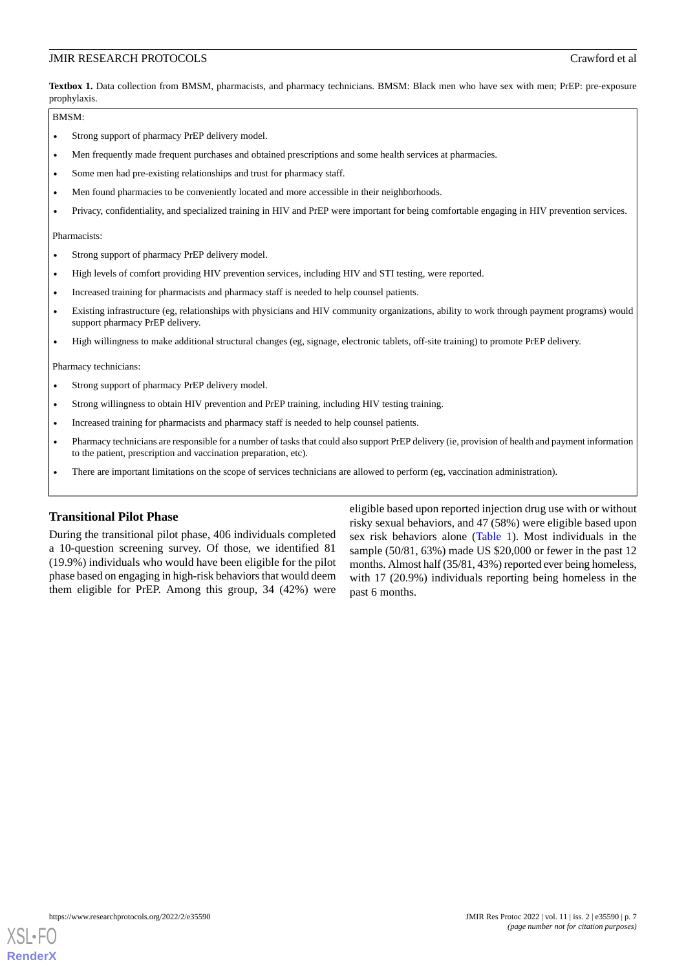<span id="page-6-0"></span>Textbox 1. Data collection from BMSM, pharmacists, and pharmacy technicians. BMSM: Black men who have sex with men; PrEP: pre-exposure prophylaxis.

#### BMSM:

- Strong support of pharmacy PrEP delivery model.
- Men frequently made frequent purchases and obtained prescriptions and some health services at pharmacies.
- Some men had pre-existing relationships and trust for pharmacy staff.
- Men found pharmacies to be conveniently located and more accessible in their neighborhoods.
- Privacy, confidentiality, and specialized training in HIV and PrEP were important for being comfortable engaging in HIV prevention services.

Pharmacists:

- Strong support of pharmacy PrEP delivery model.
- High levels of comfort providing HIV prevention services, including HIV and STI testing, were reported.
- Increased training for pharmacists and pharmacy staff is needed to help counsel patients.
- Existing infrastructure (eg, relationships with physicians and HIV community organizations, ability to work through payment programs) would support pharmacy PrEP delivery.
- High willingness to make additional structural changes (eg, signage, electronic tablets, off-site training) to promote PrEP delivery.

Pharmacy technicians:

- Strong support of pharmacy PrEP delivery model.
- Strong willingness to obtain HIV prevention and PrEP training, including HIV testing training.
- Increased training for pharmacists and pharmacy staff is needed to help counsel patients.
- Pharmacy technicians are responsible for a number of tasks that could also support PrEP delivery (ie, provision of health and payment information to the patient, prescription and vaccination preparation, etc).
- There are important limitations on the scope of services technicians are allowed to perform (eg, vaccination administration).

#### **Transitional Pilot Phase**

During the transitional pilot phase, 406 individuals completed a 10-question screening survey. Of those, we identified 81 (19.9%) individuals who would have been eligible for the pilot phase based on engaging in high-risk behaviors that would deem them eligible for PrEP. Among this group, 34 (42%) were

eligible based upon reported injection drug use with or without risky sexual behaviors, and 47 (58%) were eligible based upon sex risk behaviors alone [\(Table 1](#page-7-0)). Most individuals in the sample (50/81, 63%) made US \$20,000 or fewer in the past 12 months. Almost half (35/81, 43%) reported ever being homeless, with 17 (20.9%) individuals reporting being homeless in the past 6 months.

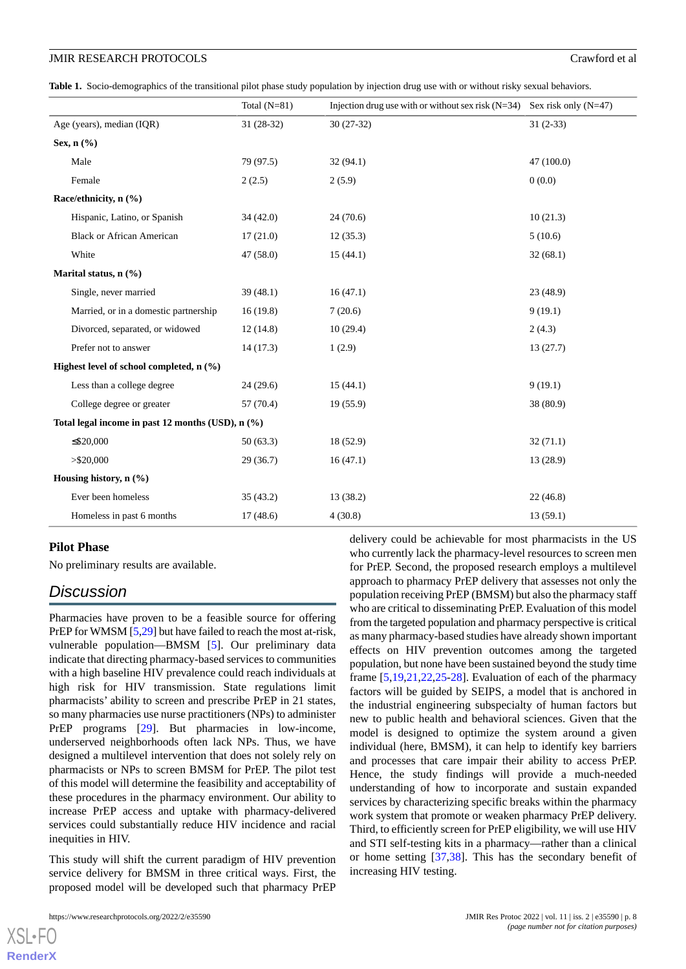<span id="page-7-0"></span>**Table 1.** Socio-demographics of the transitional pilot phase study population by injection drug use with or without risky sexual behaviors.

|                                                   |                                       | Total $(N=81)$ | Injection drug use with or without sex risk $(N=34)$ Sex risk only $(N=47)$ |            |
|---------------------------------------------------|---------------------------------------|----------------|-----------------------------------------------------------------------------|------------|
|                                                   | Age (years), median (IQR)             | 31 (28-32)     | $30(27-32)$                                                                 | $31(2-33)$ |
| Sex, $n$ $(\%)$                                   |                                       |                |                                                                             |            |
|                                                   | Male                                  | 79 (97.5)      | 32(94.1)                                                                    | 47(100.0)  |
|                                                   | Female                                | 2(2.5)         | 2(5.9)                                                                      | 0(0.0)     |
|                                                   | Race/ethnicity, n (%)                 |                |                                                                             |            |
|                                                   | Hispanic, Latino, or Spanish          | 34(42.0)       | 24(70.6)                                                                    | 10(21.3)   |
|                                                   | <b>Black or African American</b>      | 17(21.0)       | 12(35.3)                                                                    | 5(10.6)    |
|                                                   | White                                 | 47 (58.0)      | 15(44.1)                                                                    | 32(68.1)   |
| Marital status, n (%)                             |                                       |                |                                                                             |            |
|                                                   | Single, never married                 | 39(48.1)       | 16(47.1)                                                                    | 23 (48.9)  |
|                                                   | Married, or in a domestic partnership | 16(19.8)       | 7(20.6)                                                                     | 9(19.1)    |
|                                                   | Divorced, separated, or widowed       | 12(14.8)       | 10(29.4)                                                                    | 2(4.3)     |
|                                                   | Prefer not to answer                  | 14(17.3)       | 1(2.9)                                                                      | 13(27.7)   |
| Highest level of school completed, n (%)          |                                       |                |                                                                             |            |
|                                                   | Less than a college degree            | 24(29.6)       | 15(44.1)                                                                    | 9(19.1)    |
|                                                   | College degree or greater             | 57 (70.4)      | 19(55.9)                                                                    | 38 (80.9)  |
| Total legal income in past 12 months (USD), n (%) |                                       |                |                                                                             |            |
|                                                   | $\leq$ \$20,000                       | 50(63.3)       | 18 (52.9)                                                                   | 32(71.1)   |
|                                                   | $>$ \$20,000                          | 29(36.7)       | 16(47.1)                                                                    | 13 (28.9)  |
| Housing history, n (%)                            |                                       |                |                                                                             |            |
|                                                   | Ever been homeless                    | 35(43.2)       | 13(38.2)                                                                    | 22(46.8)   |
|                                                   | Homeless in past 6 months             | 17(48.6)       | 4(30.8)                                                                     | 13(59.1)   |

#### **Pilot Phase**

No preliminary results are available.

### *Discussion*

Pharmacies have proven to be a feasible source for offering PrEP for WMSM [[5,](#page-8-6)[29\]](#page-9-14) but have failed to reach the most at-risk, vulnerable population—BMSM [\[5](#page-8-6)]. Our preliminary data indicate that directing pharmacy-based services to communities with a high baseline HIV prevalence could reach individuals at high risk for HIV transmission. State regulations limit pharmacists' ability to screen and prescribe PrEP in 21 states, so many pharmacies use nurse practitioners (NPs) to administer PrEP programs [\[29](#page-9-14)]. But pharmacies in low-income, underserved neighborhoods often lack NPs. Thus, we have designed a multilevel intervention that does not solely rely on pharmacists or NPs to screen BMSM for PrEP. The pilot test of this model will determine the feasibility and acceptability of these procedures in the pharmacy environment. Our ability to increase PrEP access and uptake with pharmacy-delivered services could substantially reduce HIV incidence and racial inequities in HIV.

This study will shift the current paradigm of HIV prevention service delivery for BMSM in three critical ways. First, the proposed model will be developed such that pharmacy PrEP

[XSL](http://www.w3.org/Style/XSL)•FO **[RenderX](http://www.renderx.com/)**

delivery could be achievable for most pharmacists in the US who currently lack the pharmacy-level resources to screen men for PrEP. Second, the proposed research employs a multilevel approach to pharmacy PrEP delivery that assesses not only the population receiving PrEP (BMSM) but also the pharmacy staff who are critical to disseminating PrEP. Evaluation of this model from the targeted population and pharmacy perspective is critical as many pharmacy-based studies have already shown important effects on HIV prevention outcomes among the targeted population, but none have been sustained beyond the study time frame [[5](#page-8-6)[,19](#page-9-8),[21,](#page-9-15)[22,](#page-9-9)[25](#page-9-12)[-28](#page-9-13)]. Evaluation of each of the pharmacy factors will be guided by SEIPS, a model that is anchored in the industrial engineering subspecialty of human factors but new to public health and behavioral sciences. Given that the model is designed to optimize the system around a given individual (here, BMSM), it can help to identify key barriers and processes that care impair their ability to access PrEP. Hence, the study findings will provide a much-needed understanding of how to incorporate and sustain expanded services by characterizing specific breaks within the pharmacy work system that promote or weaken pharmacy PrEP delivery. Third, to efficiently screen for PrEP eligibility, we will use HIV and STI self-testing kits in a pharmacy—rather than a clinical or home setting [[37,](#page-10-7)[38](#page-10-8)]. This has the secondary benefit of increasing HIV testing.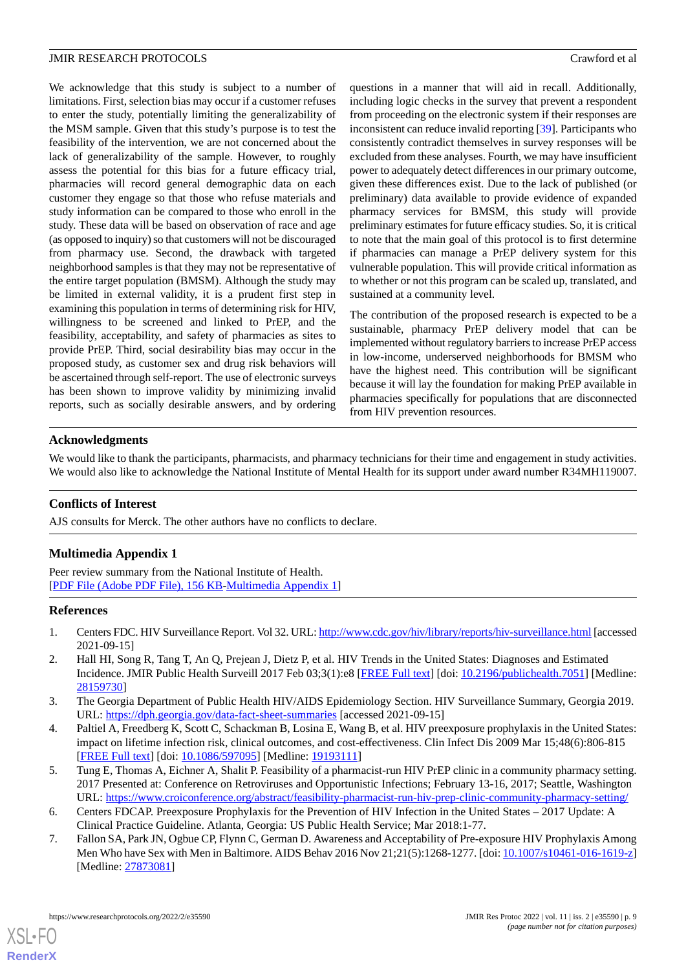We acknowledge that this study is subject to a number of limitations. First, selection bias may occur if a customer refuses to enter the study, potentially limiting the generalizability of the MSM sample. Given that this study's purpose is to test the feasibility of the intervention, we are not concerned about the lack of generalizability of the sample. However, to roughly assess the potential for this bias for a future efficacy trial, pharmacies will record general demographic data on each customer they engage so that those who refuse materials and study information can be compared to those who enroll in the study. These data will be based on observation of race and age (as opposed to inquiry) so that customers will not be discouraged from pharmacy use. Second, the drawback with targeted neighborhood samples is that they may not be representative of the entire target population (BMSM). Although the study may be limited in external validity, it is a prudent first step in examining this population in terms of determining risk for HIV, willingness to be screened and linked to PrEP, and the feasibility, acceptability, and safety of pharmacies as sites to provide PrEP. Third, social desirability bias may occur in the proposed study, as customer sex and drug risk behaviors will be ascertained through self-report. The use of electronic surveys has been shown to improve validity by minimizing invalid reports, such as socially desirable answers, and by ordering

questions in a manner that will aid in recall. Additionally, including logic checks in the survey that prevent a respondent from proceeding on the electronic system if their responses are inconsistent can reduce invalid reporting [[39\]](#page-10-9). Participants who consistently contradict themselves in survey responses will be excluded from these analyses. Fourth, we may have insufficient power to adequately detect differences in our primary outcome, given these differences exist. Due to the lack of published (or preliminary) data available to provide evidence of expanded pharmacy services for BMSM, this study will provide preliminary estimates for future efficacy studies. So, it is critical to note that the main goal of this protocol is to first determine if pharmacies can manage a PrEP delivery system for this vulnerable population. This will provide critical information as to whether or not this program can be scaled up, translated, and sustained at a community level.

The contribution of the proposed research is expected to be a sustainable, pharmacy PrEP delivery model that can be implemented without regulatory barriers to increase PrEP access in low-income, underserved neighborhoods for BMSM who have the highest need. This contribution will be significant because it will lay the foundation for making PrEP available in pharmacies specifically for populations that are disconnected from HIV prevention resources.

#### **Acknowledgments**

We would like to thank the participants, pharmacists, and pharmacy technicians for their time and engagement in study activities. We would also like to acknowledge the National Institute of Mental Health for its support under award number R34MH119007.

#### **Conflicts of Interest**

AJS consults for Merck. The other authors have no conflicts to declare.

#### **Multimedia Appendix 1**

<span id="page-8-0"></span>Peer review summary from the National Institute of Health. [[PDF File \(Adobe PDF File\), 156 KB](https://jmir.org/api/download?alt_name=resprot_v11i2e35590_app1.pdf&filename=b35569e575e6908817f18f44077a3e12.pdf)-[Multimedia Appendix 1\]](https://jmir.org/api/download?alt_name=resprot_v11i2e35590_app1.pdf&filename=b35569e575e6908817f18f44077a3e12.pdf)

#### <span id="page-8-1"></span>**References**

- <span id="page-8-2"></span>1. Centers FDC. HIV Surveillance Report. Vol 32. URL:<http://www.cdc.gov/hiv/library/reports/hiv-surveillance.html> [accessed 2021-09-15]
- <span id="page-8-3"></span>2. Hall HI, Song R, Tang T, An Q, Prejean J, Dietz P, et al. HIV Trends in the United States: Diagnoses and Estimated Incidence. JMIR Public Health Surveill 2017 Feb 03;3(1):e8 [\[FREE Full text\]](http://publichealth.jmir.org/2017/1/e8/) [doi: [10.2196/publichealth.7051\]](http://dx.doi.org/10.2196/publichealth.7051) [Medline: [28159730](http://www.ncbi.nlm.nih.gov/entrez/query.fcgi?cmd=Retrieve&db=PubMed&list_uids=28159730&dopt=Abstract)]
- <span id="page-8-6"></span>3. The Georgia Department of Public Health HIV/AIDS Epidemiology Section. HIV Surveillance Summary, Georgia 2019. URL: <https://dph.georgia.gov/data-fact-sheet-summaries> [accessed 2021-09-15]
- <span id="page-8-4"></span>4. Paltiel A, Freedberg K, Scott C, Schackman B, Losina E, Wang B, et al. HIV preexposure prophylaxis in the United States: impact on lifetime infection risk, clinical outcomes, and cost-effectiveness. Clin Infect Dis 2009 Mar 15;48(6):806-815 [[FREE Full text](http://europepmc.org/abstract/MED/19193111)] [doi: [10.1086/597095\]](http://dx.doi.org/10.1086/597095) [Medline: [19193111](http://www.ncbi.nlm.nih.gov/entrez/query.fcgi?cmd=Retrieve&db=PubMed&list_uids=19193111&dopt=Abstract)]
- <span id="page-8-5"></span>5. Tung E, Thomas A, Eichner A, Shalit P. Feasibility of a pharmacist-run HIV PrEP clinic in a community pharmacy setting. 2017 Presented at: Conference on Retroviruses and Opportunistic Infections; February 13-16, 2017; Seattle, Washington URL: <https://www.croiconference.org/abstract/feasibility-pharmacist-run-hiv-prep-clinic-community-pharmacy-setting/>
- 6. Centers FDCAP. Preexposure Prophylaxis for the Prevention of HIV Infection in the United States 2017 Update: A Clinical Practice Guideline. Atlanta, Georgia: US Public Health Service; Mar 2018:1-77.
- 7. Fallon SA, Park JN, Ogbue CP, Flynn C, German D. Awareness and Acceptability of Pre-exposure HIV Prophylaxis Among Men Who have Sex with Men in Baltimore. AIDS Behav 2016 Nov 21;21(5):1268-1277. [doi: [10.1007/s10461-016-1619-z\]](http://dx.doi.org/10.1007/s10461-016-1619-z) [Medline: [27873081](http://www.ncbi.nlm.nih.gov/entrez/query.fcgi?cmd=Retrieve&db=PubMed&list_uids=27873081&dopt=Abstract)]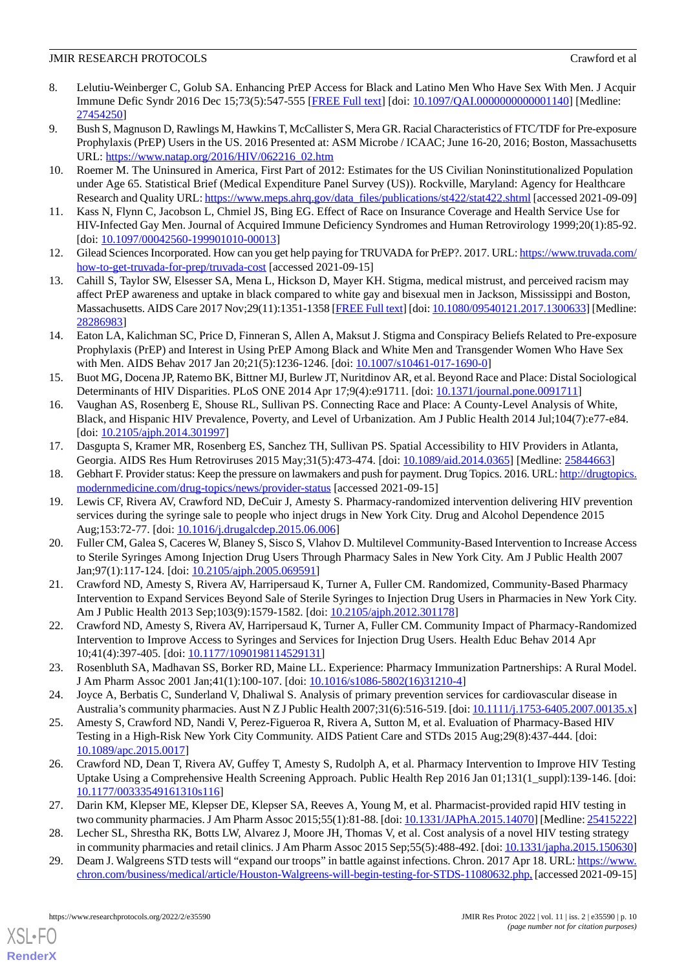- <span id="page-9-0"></span>8. Lelutiu-Weinberger C, Golub SA. Enhancing PrEP Access for Black and Latino Men Who Have Sex With Men. J Acquir Immune Defic Syndr 2016 Dec 15;73(5):547-555 [[FREE Full text](http://europepmc.org/abstract/MED/27454250)] [doi: [10.1097/QAI.0000000000001140\]](http://dx.doi.org/10.1097/QAI.0000000000001140) [Medline: [27454250](http://www.ncbi.nlm.nih.gov/entrez/query.fcgi?cmd=Retrieve&db=PubMed&list_uids=27454250&dopt=Abstract)]
- <span id="page-9-1"></span>9. Bush S, Magnuson D, Rawlings M, Hawkins T, McCallister S, Mera GR. Racial Characteristics of FTC/TDF for Pre-exposure Prophylaxis (PrEP) Users in the US. 2016 Presented at: ASM Microbe / ICAAC; June 16-20, 2016; Boston, Massachusetts URL: [https://www.natap.org/2016/HIV/062216\\_02.htm](https://www.natap.org/2016/HIV/062216_02.htm)
- <span id="page-9-3"></span><span id="page-9-2"></span>10. Roemer M. The Uninsured in America, First Part of 2012: Estimates for the US Civilian Noninstitutionalized Population under Age 65. Statistical Brief (Medical Expenditure Panel Survey (US)). Rockville, Maryland: Agency for Healthcare Research and Quality URL: [https://www.meps.ahrq.gov/data\\_files/publications/st422/stat422.shtml](https://www.meps.ahrq.gov/data_files/publications/st422/stat422.shtml) [accessed 2021-09-09]
- <span id="page-9-4"></span>11. Kass N, Flynn C, Jacobson L, Chmiel JS, Bing EG. Effect of Race on Insurance Coverage and Health Service Use for HIV-Infected Gay Men. Journal of Acquired Immune Deficiency Syndromes and Human Retrovirology 1999;20(1):85-92. [doi: [10.1097/00042560-199901010-00013\]](http://dx.doi.org/10.1097/00042560-199901010-00013)
- <span id="page-9-5"></span>12. Gilead Sciences Incorporated. How can you get help paying for TRUVADA for PrEP?. 2017. URL: [https://www.truvada.com/](https://www.truvada.com/how-to-get-truvada-for-prep/truvada-cost) [how-to-get-truvada-for-prep/truvada-cost](https://www.truvada.com/how-to-get-truvada-for-prep/truvada-cost) [accessed 2021-09-15]
- 13. Cahill S, Taylor SW, Elsesser SA, Mena L, Hickson D, Mayer KH. Stigma, medical mistrust, and perceived racism may affect PrEP awareness and uptake in black compared to white gay and bisexual men in Jackson, Mississippi and Boston, Massachusetts. AIDS Care 2017 Nov; 29(11): 1351-1358 [\[FREE Full text\]](http://europepmc.org/abstract/MED/28286983) [doi: [10.1080/09540121.2017.1300633\]](http://dx.doi.org/10.1080/09540121.2017.1300633) [Medline: [28286983](http://www.ncbi.nlm.nih.gov/entrez/query.fcgi?cmd=Retrieve&db=PubMed&list_uids=28286983&dopt=Abstract)]
- 14. Eaton LA, Kalichman SC, Price D, Finneran S, Allen A, Maksut J. Stigma and Conspiracy Beliefs Related to Pre-exposure Prophylaxis (PrEP) and Interest in Using PrEP Among Black and White Men and Transgender Women Who Have Sex with Men. AIDS Behav 2017 Jan 20;21(5):1236-1246. [doi: [10.1007/s10461-017-1690-0](http://dx.doi.org/10.1007/s10461-017-1690-0)]
- 15. Buot MG, Docena JP, Ratemo BK, Bittner MJ, Burlew JT, Nuritdinov AR, et al. Beyond Race and Place: Distal Sociological Determinants of HIV Disparities. PLoS ONE 2014 Apr 17;9(4):e91711. [doi: [10.1371/journal.pone.0091711\]](http://dx.doi.org/10.1371/journal.pone.0091711)
- <span id="page-9-6"></span>16. Vaughan AS, Rosenberg E, Shouse RL, Sullivan PS. Connecting Race and Place: A County-Level Analysis of White, Black, and Hispanic HIV Prevalence, Poverty, and Level of Urbanization. Am J Public Health 2014 Jul;104(7):e77-e84. [doi: [10.2105/ajph.2014.301997](http://dx.doi.org/10.2105/ajph.2014.301997)]
- <span id="page-9-8"></span><span id="page-9-7"></span>17. Dasgupta S, Kramer MR, Rosenberg ES, Sanchez TH, Sullivan PS. Spatial Accessibility to HIV Providers in Atlanta, Georgia. AIDS Res Hum Retroviruses 2015 May;31(5):473-474. [doi: [10.1089/aid.2014.0365](http://dx.doi.org/10.1089/aid.2014.0365)] [Medline: [25844663](http://www.ncbi.nlm.nih.gov/entrez/query.fcgi?cmd=Retrieve&db=PubMed&list_uids=25844663&dopt=Abstract)]
- 18. Gebhart F. Provider status: Keep the pressure on lawmakers and push for payment. Drug Topics. 2016. URL: [http://drugtopics.](http://drugtopics.modernmedicine.com/drug-topics/news/provider-status) [modernmedicine.com/drug-topics/news/provider-status](http://drugtopics.modernmedicine.com/drug-topics/news/provider-status) [accessed 2021-09-15]
- 19. Lewis CF, Rivera AV, Crawford ND, DeCuir J, Amesty S. Pharmacy-randomized intervention delivering HIV prevention services during the syringe sale to people who inject drugs in New York City. Drug and Alcohol Dependence 2015 Aug;153:72-77. [doi: [10.1016/j.drugalcdep.2015.06.006\]](http://dx.doi.org/10.1016/j.drugalcdep.2015.06.006)
- <span id="page-9-15"></span>20. Fuller CM, Galea S, Caceres W, Blaney S, Sisco S, Vlahov D. Multilevel Community-Based Intervention to Increase Access to Sterile Syringes Among Injection Drug Users Through Pharmacy Sales in New York City. Am J Public Health 2007 Jan;97(1):117-124. [doi: [10.2105/ajph.2005.069591](http://dx.doi.org/10.2105/ajph.2005.069591)]
- <span id="page-9-10"></span><span id="page-9-9"></span>21. Crawford ND, Amesty S, Rivera AV, Harripersaud K, Turner A, Fuller CM. Randomized, Community-Based Pharmacy Intervention to Expand Services Beyond Sale of Sterile Syringes to Injection Drug Users in Pharmacies in New York City. Am J Public Health 2013 Sep;103(9):1579-1582. [doi: [10.2105/ajph.2012.301178\]](http://dx.doi.org/10.2105/ajph.2012.301178)
- <span id="page-9-11"></span>22. Crawford ND, Amesty S, Rivera AV, Harripersaud K, Turner A, Fuller CM. Community Impact of Pharmacy-Randomized Intervention to Improve Access to Syringes and Services for Injection Drug Users. Health Educ Behav 2014 Apr 10;41(4):397-405. [doi: [10.1177/1090198114529131\]](http://dx.doi.org/10.1177/1090198114529131)
- <span id="page-9-12"></span>23. Rosenbluth SA, Madhavan SS, Borker RD, Maine LL. Experience: Pharmacy Immunization Partnerships: A Rural Model. J Am Pharm Assoc 2001 Jan;41(1):100-107. [doi: [10.1016/s1086-5802\(16\)31210-4](http://dx.doi.org/10.1016/s1086-5802(16)31210-4)]
- 24. Joyce A, Berbatis C, Sunderland V, Dhaliwal S. Analysis of primary prevention services for cardiovascular disease in Australia's community pharmacies. Aust N Z J Public Health 2007;31(6):516-519. [doi: [10.1111/j.1753-6405.2007.00135.x\]](http://dx.doi.org/10.1111/j.1753-6405.2007.00135.x)
- 25. Amesty S, Crawford ND, Nandi V, Perez-Figueroa R, Rivera A, Sutton M, et al. Evaluation of Pharmacy-Based HIV Testing in a High-Risk New York City Community. AIDS Patient Care and STDs 2015 Aug;29(8):437-444. [doi: [10.1089/apc.2015.0017\]](http://dx.doi.org/10.1089/apc.2015.0017)
- <span id="page-9-14"></span><span id="page-9-13"></span>26. Crawford ND, Dean T, Rivera AV, Guffey T, Amesty S, Rudolph A, et al. Pharmacy Intervention to Improve HIV Testing Uptake Using a Comprehensive Health Screening Approach. Public Health Rep 2016 Jan 01;131(1\_suppl):139-146. [doi: [10.1177/00333549161310s116\]](http://dx.doi.org/10.1177/00333549161310s116)
- 27. Darin KM, Klepser ME, Klepser DE, Klepser SA, Reeves A, Young M, et al. Pharmacist-provided rapid HIV testing in two community pharmacies. J Am Pharm Assoc 2015;55(1):81-88. [doi: [10.1331/JAPhA.2015.14070\]](http://dx.doi.org/10.1331/JAPhA.2015.14070) [Medline: [25415222\]](http://www.ncbi.nlm.nih.gov/entrez/query.fcgi?cmd=Retrieve&db=PubMed&list_uids=25415222&dopt=Abstract)
- 28. Lecher SL, Shrestha RK, Botts LW, Alvarez J, Moore JH, Thomas V, et al. Cost analysis of a novel HIV testing strategy in community pharmacies and retail clinics. J Am Pharm Assoc 2015 Sep;55(5):488-492. [doi: [10.1331/japha.2015.150630\]](http://dx.doi.org/10.1331/japha.2015.150630)
- 29. Deam J. Walgreens STD tests will "expand our troops" in battle against infections. Chron. 2017 Apr 18. URL: [https://www.](https://www.chron.com/business/medical/article/Houston-Walgreens-will-begin-testing-for-STDS-11080632.php,) [chron.com/business/medical/article/Houston-Walgreens-will-begin-testing-for-STDS-11080632.php,](https://www.chron.com/business/medical/article/Houston-Walgreens-will-begin-testing-for-STDS-11080632.php,) [accessed 2021-09-15]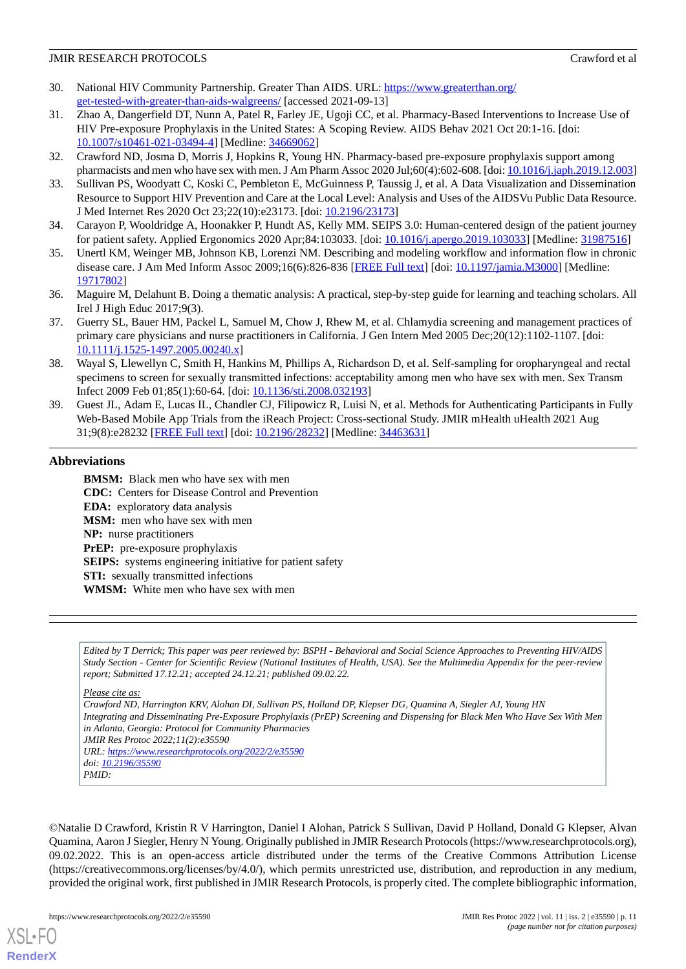- <span id="page-10-0"></span>30. National HIV Community Partnership. Greater Than AIDS. URL: [https://www.greaterthan.org/](https://www.greaterthan.org/get-tested-with-greater-than-aids-walgreens/) [get-tested-with-greater-than-aids-walgreens/](https://www.greaterthan.org/get-tested-with-greater-than-aids-walgreens/) [accessed 2021-09-13]
- <span id="page-10-1"></span>31. Zhao A, Dangerfield DT, Nunn A, Patel R, Farley JE, Ugoji CC, et al. Pharmacy-Based Interventions to Increase Use of HIV Pre-exposure Prophylaxis in the United States: A Scoping Review. AIDS Behav 2021 Oct 20:1-16. [doi: [10.1007/s10461-021-03494-4\]](http://dx.doi.org/10.1007/s10461-021-03494-4) [Medline: [34669062\]](http://www.ncbi.nlm.nih.gov/entrez/query.fcgi?cmd=Retrieve&db=PubMed&list_uids=34669062&dopt=Abstract)
- <span id="page-10-3"></span><span id="page-10-2"></span>32. Crawford ND, Josma D, Morris J, Hopkins R, Young HN. Pharmacy-based pre-exposure prophylaxis support among pharmacists and men who have sex with men. J Am Pharm Assoc 2020 Jul;60(4):602-608. [doi: [10.1016/j.japh.2019.12.003](http://dx.doi.org/10.1016/j.japh.2019.12.003)]
- <span id="page-10-4"></span>33. Sullivan PS, Woodyatt C, Koski C, Pembleton E, McGuinness P, Taussig J, et al. A Data Visualization and Dissemination Resource to Support HIV Prevention and Care at the Local Level: Analysis and Uses of the AIDSVu Public Data Resource. J Med Internet Res 2020 Oct 23;22(10):e23173. [doi: [10.2196/23173\]](http://dx.doi.org/10.2196/23173)
- <span id="page-10-5"></span>34. Carayon P, Wooldridge A, Hoonakker P, Hundt AS, Kelly MM. SEIPS 3.0: Human-centered design of the patient journey for patient safety. Applied Ergonomics 2020 Apr;84:103033. [doi: [10.1016/j.apergo.2019.103033\]](http://dx.doi.org/10.1016/j.apergo.2019.103033) [Medline: [31987516](http://www.ncbi.nlm.nih.gov/entrez/query.fcgi?cmd=Retrieve&db=PubMed&list_uids=31987516&dopt=Abstract)]
- <span id="page-10-6"></span>35. Unertl KM, Weinger MB, Johnson KB, Lorenzi NM. Describing and modeling workflow and information flow in chronic disease care. J Am Med Inform Assoc 2009;16(6):826-836 [[FREE Full text](http://jamia.oxfordjournals.org/cgi/pmidlookup?view=long&pmid=19717802)] [doi: [10.1197/jamia.M3000](http://dx.doi.org/10.1197/jamia.M3000)] [Medline: [19717802](http://www.ncbi.nlm.nih.gov/entrez/query.fcgi?cmd=Retrieve&db=PubMed&list_uids=19717802&dopt=Abstract)]
- <span id="page-10-7"></span>36. Maguire M, Delahunt B. Doing a thematic analysis: A practical, step-by-step guide for learning and teaching scholars. All Irel J High Educ 2017;9(3).
- <span id="page-10-8"></span>37. Guerry SL, Bauer HM, Packel L, Samuel M, Chow J, Rhew M, et al. Chlamydia screening and management practices of primary care physicians and nurse practitioners in California. J Gen Intern Med 2005 Dec;20(12):1102-1107. [doi: [10.1111/j.1525-1497.2005.00240.x\]](http://dx.doi.org/10.1111/j.1525-1497.2005.00240.x)
- <span id="page-10-9"></span>38. Wayal S, Llewellyn C, Smith H, Hankins M, Phillips A, Richardson D, et al. Self-sampling for oropharyngeal and rectal specimens to screen for sexually transmitted infections: acceptability among men who have sex with men. Sex Transm Infect 2009 Feb 01;85(1):60-64. [doi: [10.1136/sti.2008.032193](http://dx.doi.org/10.1136/sti.2008.032193)]
- 39. Guest JL, Adam E, Lucas IL, Chandler CJ, Filipowicz R, Luisi N, et al. Methods for Authenticating Participants in Fully Web-Based Mobile App Trials from the iReach Project: Cross-sectional Study. JMIR mHealth uHealth 2021 Aug 31;9(8):e28232 [\[FREE Full text](https://mhealth.jmir.org/2021/8/e28232/)] [doi: [10.2196/28232\]](http://dx.doi.org/10.2196/28232) [Medline: [34463631\]](http://www.ncbi.nlm.nih.gov/entrez/query.fcgi?cmd=Retrieve&db=PubMed&list_uids=34463631&dopt=Abstract)

#### **Abbreviations**

**BMSM:** Black men who have sex with men **CDC:** Centers for Disease Control and Prevention **EDA:** exploratory data analysis **MSM:** men who have sex with men **NP:** nurse practitioners **PrEP:** pre-exposure prophylaxis **SEIPS:** systems engineering initiative for patient safety **STI:** sexually transmitted infections **WMSM:** White men who have sex with men

*Edited by T Derrick; This paper was peer reviewed by: BSPH - Behavioral and Social Science Approaches to Preventing HIV/AIDS Study Section - Center for Scientific Review (National Institutes of Health, USA). See the Multimedia Appendix for the peer-review report; Submitted 17.12.21; accepted 24.12.21; published 09.02.22.*

*Please cite as:*

*Crawford ND, Harrington KRV, Alohan DI, Sullivan PS, Holland DP, Klepser DG, Quamina A, Siegler AJ, Young HN Integrating and Disseminating Pre-Exposure Prophylaxis (PrEP) Screening and Dispensing for Black Men Who Have Sex With Men in Atlanta, Georgia: Protocol for Community Pharmacies JMIR Res Protoc 2022;11(2):e35590 URL: <https://www.researchprotocols.org/2022/2/e35590> doi: [10.2196/35590](http://dx.doi.org/10.2196/35590)*

*PMID:*

[XSL](http://www.w3.org/Style/XSL)•FO **[RenderX](http://www.renderx.com/)**

©Natalie D Crawford, Kristin R V Harrington, Daniel I Alohan, Patrick S Sullivan, David P Holland, Donald G Klepser, Alvan Quamina, Aaron J Siegler, Henry N Young. Originally published in JMIR Research Protocols (https://www.researchprotocols.org), 09.02.2022. This is an open-access article distributed under the terms of the Creative Commons Attribution License (https://creativecommons.org/licenses/by/4.0/), which permits unrestricted use, distribution, and reproduction in any medium, provided the original work, first published in JMIR Research Protocols, is properly cited. The complete bibliographic information,